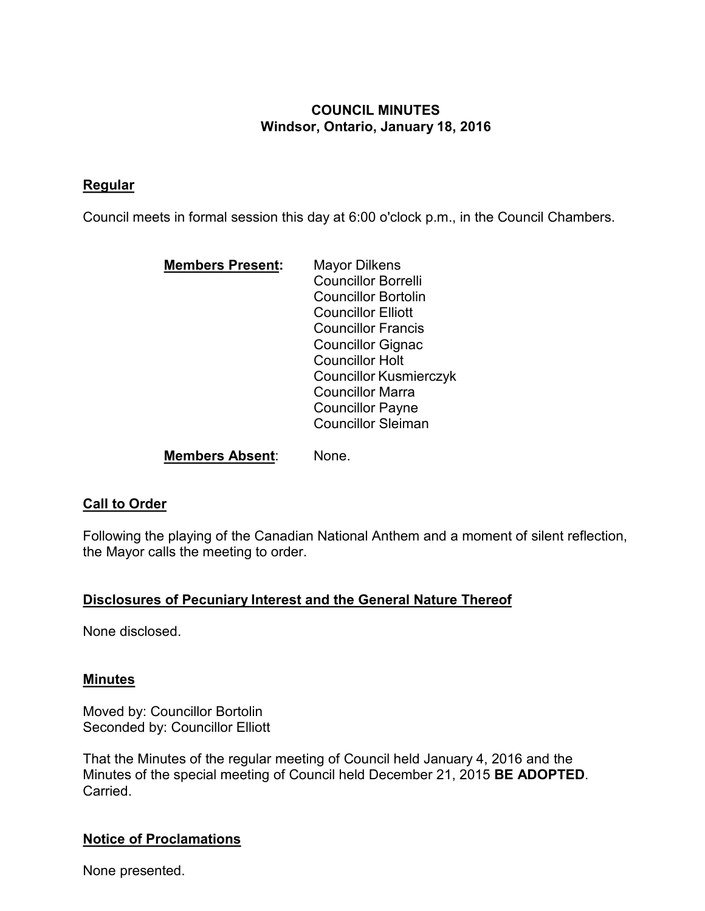# **COUNCIL MINUTES Windsor, Ontario, January 18, 2016**

## **Regular**

Council meets in formal session this day at 6:00 o'clock p.m., in the Council Chambers.

| <b>Members Present:</b> | Mayor Dilkens                 |  |
|-------------------------|-------------------------------|--|
|                         | <b>Councillor Borrelli</b>    |  |
|                         | <b>Councillor Bortolin</b>    |  |
|                         | <b>Councillor Elliott</b>     |  |
|                         | <b>Councillor Francis</b>     |  |
|                         | <b>Councillor Gignac</b>      |  |
|                         | <b>Councillor Holt</b>        |  |
|                         | <b>Councillor Kusmierczyk</b> |  |
|                         | Councillor Marra              |  |
|                         | <b>Councillor Payne</b>       |  |
|                         | <b>Councillor Sleiman</b>     |  |
|                         |                               |  |

**Members Absent**: None.

## **Call to Order**

Following the playing of the Canadian National Anthem and a moment of silent reflection, the Mayor calls the meeting to order.

## **Disclosures of Pecuniary Interest and the General Nature Thereof**

None disclosed.

## **Minutes**

Moved by: Councillor Bortolin Seconded by: Councillor Elliott

That the Minutes of the regular meeting of Council held January 4, 2016 and the Minutes of the special meeting of Council held December 21, 2015 **BE ADOPTED**. Carried.

# **Notice of Proclamations**

None presented.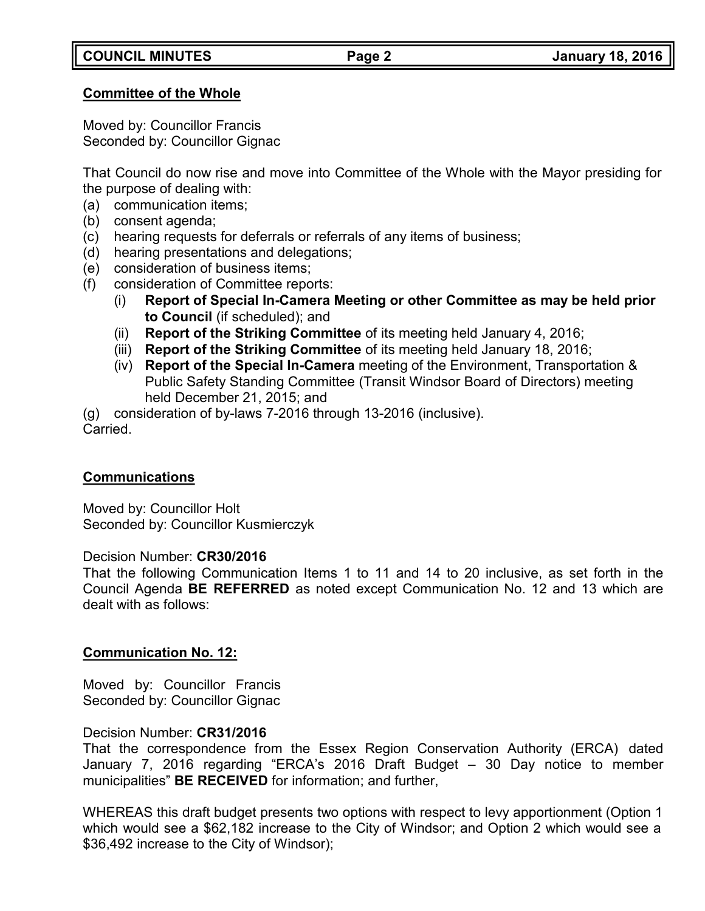## **Committee of the Whole**

Moved by: Councillor Francis Seconded by: Councillor Gignac

That Council do now rise and move into Committee of the Whole with the Mayor presiding for the purpose of dealing with:

- (a) communication items;
- (b) consent agenda;
- (c) hearing requests for deferrals or referrals of any items of business;
- (d) hearing presentations and delegations;
- (e) consideration of business items;
- (f) consideration of Committee reports:
	- (i) **Report of Special In-Camera Meeting or other Committee as may be held prior to Council** (if scheduled); and
	- (ii) **Report of the Striking Committee** of its meeting held January 4, 2016;
	- (iii) **Report of the Striking Committee** of its meeting held January 18, 2016;
	- (iv) **Report of the Special In-Camera** meeting of the Environment, Transportation & Public Safety Standing Committee (Transit Windsor Board of Directors) meeting held December 21, 2015; and

(g) consideration of by-laws 7-2016 through 13-2016 (inclusive). Carried.

## **Communications**

Moved by: Councillor Holt Seconded by: Councillor Kusmierczyk

## Decision Number: **CR30/2016**

That the following Communication Items 1 to 11 and 14 to 20 inclusive, as set forth in the Council Agenda **BE REFERRED** as noted except Communication No. 12 and 13 which are dealt with as follows:

## **Communication No. 12:**

Moved by: Councillor Francis Seconded by: Councillor Gignac

## Decision Number: **CR31/2016**

That the correspondence from the Essex Region Conservation Authority (ERCA) dated January 7, 2016 regarding "ERCA's 2016 Draft Budget – 30 Day notice to member municipalities" **BE RECEIVED** for information; and further,

WHEREAS this draft budget presents two options with respect to levy apportionment (Option 1 which would see a \$62,182 increase to the City of Windsor; and Option 2 which would see a \$36,492 increase to the City of Windsor);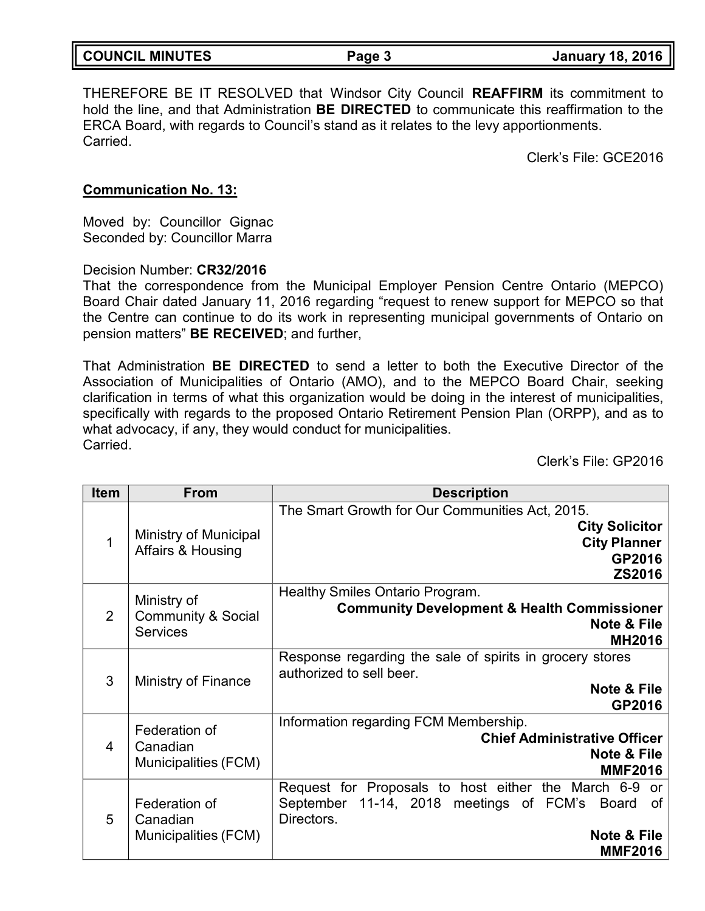| <b>COUNCIL MINUTES</b> | Page 3 | <b>January 18, 2016</b> |
|------------------------|--------|-------------------------|
|                        |        |                         |

THEREFORE BE IT RESOLVED that Windsor City Council **REAFFIRM** its commitment to hold the line, and that Administration **BE DIRECTED** to communicate this reaffirmation to the ERCA Board, with regards to Council's stand as it relates to the levy apportionments. Carried.

Clerk's File: GCE2016

### **Communication No. 13:**

Moved by: Councillor Gignac Seconded by: Councillor Marra

Decision Number: **CR32/2016**

That the correspondence from the Municipal Employer Pension Centre Ontario (MEPCO) Board Chair dated January 11, 2016 regarding "request to renew support for MEPCO so that the Centre can continue to do its work in representing municipal governments of Ontario on pension matters" **BE RECEIVED**; and further,

That Administration **BE DIRECTED** to send a letter to both the Executive Director of the Association of Municipalities of Ontario (AMO), and to the MEPCO Board Chair, seeking clarification in terms of what this organization would be doing in the interest of municipalities, specifically with regards to the proposed Ontario Retirement Pension Plan (ORPP), and as to what advocacy, if any, they would conduct for municipalities. Carried.

Clerk's File: GP2016

| <b>Item</b> | <b>From</b>                                                     | <b>Description</b>                                                                                                                                                                         |
|-------------|-----------------------------------------------------------------|--------------------------------------------------------------------------------------------------------------------------------------------------------------------------------------------|
| 1           | <b>Ministry of Municipal</b><br>Affairs & Housing               | The Smart Growth for Our Communities Act, 2015.<br><b>City Solicitor</b><br><b>City Planner</b><br>GP2016<br><b>ZS2016</b>                                                                 |
| 2           | Ministry of<br><b>Community &amp; Social</b><br><b>Services</b> | Healthy Smiles Ontario Program.<br><b>Community Development &amp; Health Commissioner</b><br><b>Note &amp; File</b><br><b>MH2016</b>                                                       |
| 3           | <b>Ministry of Finance</b>                                      | Response regarding the sale of spirits in grocery stores<br>authorized to sell beer.<br><b>Note &amp; File</b><br>GP2016                                                                   |
| 4           | Federation of<br>Canadian<br>Municipalities (FCM)               | Information regarding FCM Membership.<br><b>Chief Administrative Officer</b><br><b>Note &amp; File</b><br><b>MMF2016</b>                                                                   |
| 5           | Federation of<br>Canadian<br>Municipalities (FCM)               | Request for Proposals to host either the March 6-9<br><b>or</b><br>September 11-14, 2018 meetings of FCM's<br><b>Board</b><br>of<br>Directors.<br><b>Note &amp; File</b><br><b>MMF2016</b> |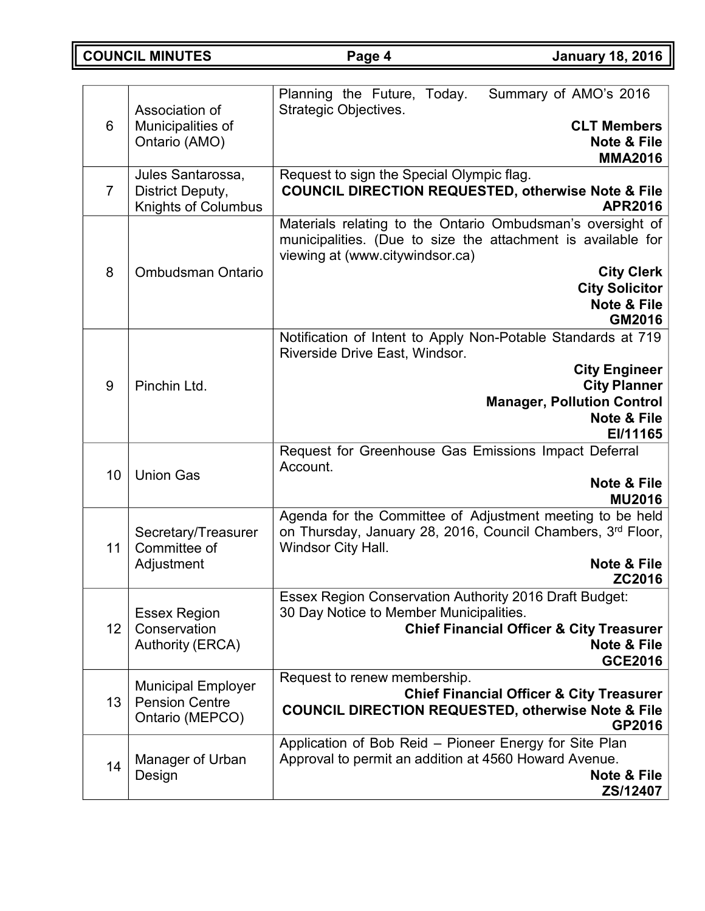**COUNCIL MINUTES Page 4 January 18, 2016**

| 6              | Association of<br>Municipalities of<br>Ontario (AMO)                  | Planning the Future, Today.<br>Summary of AMO's 2016<br><b>Strategic Objectives.</b><br><b>CLT Members</b><br><b>Note &amp; File</b><br><b>MMA2016</b>                                                                                          |  |
|----------------|-----------------------------------------------------------------------|-------------------------------------------------------------------------------------------------------------------------------------------------------------------------------------------------------------------------------------------------|--|
| $\overline{7}$ | Jules Santarossa,<br>District Deputy,<br><b>Knights of Columbus</b>   | Request to sign the Special Olympic flag.<br><b>COUNCIL DIRECTION REQUESTED, otherwise Note &amp; File</b><br><b>APR2016</b>                                                                                                                    |  |
| 8              | <b>Ombudsman Ontario</b>                                              | Materials relating to the Ontario Ombudsman's oversight of<br>municipalities. (Due to size the attachment is available for<br>viewing at (www.citywindsor.ca)<br><b>City Clerk</b><br><b>City Solicitor</b><br><b>Note &amp; File</b><br>GM2016 |  |
| 9              | Pinchin Ltd.                                                          | Notification of Intent to Apply Non-Potable Standards at 719<br>Riverside Drive East, Windsor.<br><b>City Engineer</b><br><b>City Planner</b><br><b>Manager, Pollution Control</b><br><b>Note &amp; File</b><br>EI/11165                        |  |
| 10             | <b>Union Gas</b>                                                      | Request for Greenhouse Gas Emissions Impact Deferral<br>Account.<br><b>Note &amp; File</b><br><b>MU2016</b>                                                                                                                                     |  |
| 11             | Secretary/Treasurer<br>Committee of<br>Adjustment                     | Agenda for the Committee of Adjustment meeting to be held<br>on Thursday, January 28, 2016, Council Chambers, 3rd Floor,<br>Windsor City Hall.<br>Note & File<br>ZC2016                                                                         |  |
| 12             | <b>Essex Region</b><br>Conservation<br><b>Authority (ERCA)</b>        | <b>Essex Region Conservation Authority 2016 Draft Budget:</b><br>30 Day Notice to Member Municipalities.<br><b>Chief Financial Officer &amp; City Treasurer</b><br><b>Note &amp; File</b><br><b>GCE2016</b>                                     |  |
| 13             | <b>Municipal Employer</b><br><b>Pension Centre</b><br>Ontario (MEPCO) | Request to renew membership.<br><b>Chief Financial Officer &amp; City Treasurer</b><br><b>COUNCIL DIRECTION REQUESTED, otherwise Note &amp; File</b><br>GP2016                                                                                  |  |
| 14             | Manager of Urban<br>Design                                            | Application of Bob Reid - Pioneer Energy for Site Plan<br>Approval to permit an addition at 4560 Howard Avenue.<br>Note & File<br>ZS/12407                                                                                                      |  |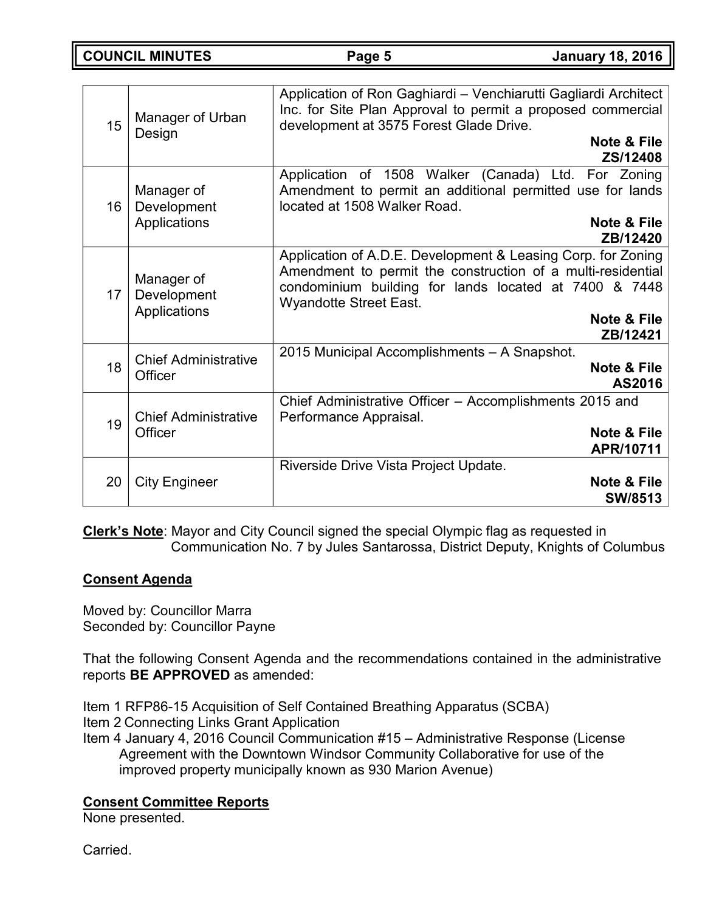**COUNCIL MINUTES Page 5 January 18, 2016**

| 15 | Manager of Urban<br>Design                    | Application of Ron Gaghiardi - Venchiarutti Gagliardi Architect<br>Inc. for Site Plan Approval to permit a proposed commercial<br>development at 3575 Forest Glade Drive.<br>Note & File<br>ZS/12408                                             |
|----|-----------------------------------------------|--------------------------------------------------------------------------------------------------------------------------------------------------------------------------------------------------------------------------------------------------|
| 16 | Manager of<br>Development<br>Applications     | Application of 1508 Walker (Canada) Ltd. For Zoning<br>Amendment to permit an additional permitted use for lands<br>located at 1508 Walker Road.<br>Note & File<br>ZB/12420                                                                      |
| 17 | Manager of<br>Development<br>Applications     | Application of A.D.E. Development & Leasing Corp. for Zoning<br>Amendment to permit the construction of a multi-residential<br>condominium building for lands located at 7400 & 7448<br><b>Wyandotte Street East.</b><br>Note & File<br>ZB/12421 |
| 18 | <b>Chief Administrative</b><br><b>Officer</b> | 2015 Municipal Accomplishments - A Snapshot.<br><b>Note &amp; File</b><br>AS2016                                                                                                                                                                 |
| 19 | <b>Chief Administrative</b><br><b>Officer</b> | Chief Administrative Officer - Accomplishments 2015 and<br>Performance Appraisal.<br><b>Note &amp; File</b><br>APR/10711                                                                                                                         |
| 20 | <b>City Engineer</b>                          | Riverside Drive Vista Project Update.<br><b>Note &amp; File</b><br><b>SW/8513</b>                                                                                                                                                                |

**Clerk's Note**: Mayor and City Council signed the special Olympic flag as requested in Communication No. 7 by Jules Santarossa, District Deputy, Knights of Columbus

## **Consent Agenda**

Moved by: Councillor Marra Seconded by: Councillor Payne

That the following Consent Agenda and the recommendations contained in the administrative reports **BE APPROVED** as amended:

Item 1 RFP86-15 Acquisition of Self Contained Breathing Apparatus (SCBA) Item 2 Connecting Links Grant Application

Item 4 January 4, 2016 Council Communication #15 – Administrative Response (License Agreement with the Downtown Windsor Community Collaborative for use of the improved property municipally known as 930 Marion Avenue)

# **Consent Committee Reports**

None presented.

Carried.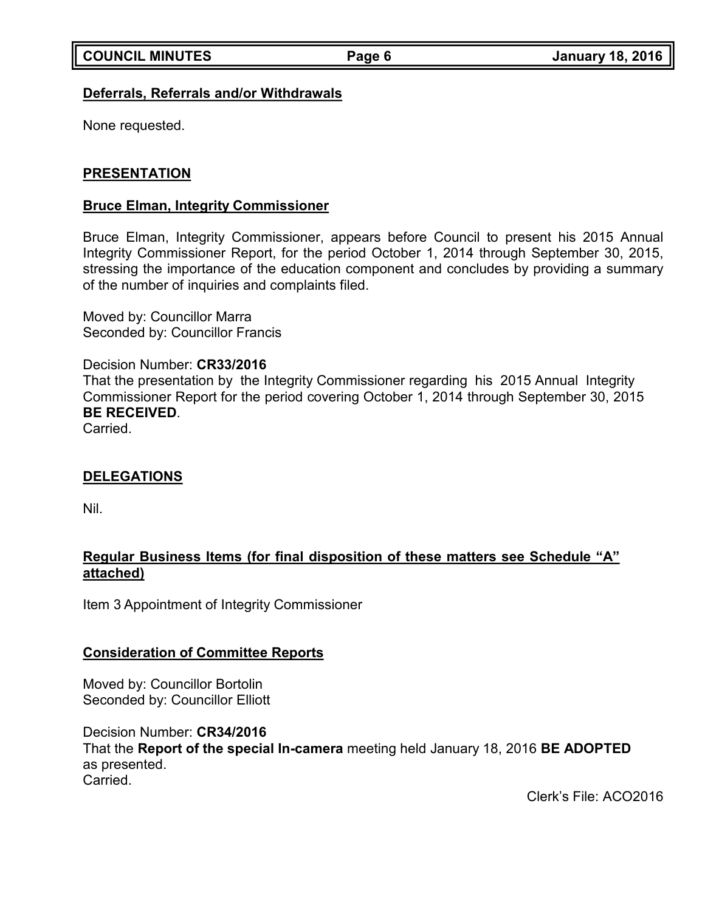## **Deferrals, Referrals and/or Withdrawals**

None requested.

## **PRESENTATION**

### **Bruce Elman, Integrity Commissioner**

Bruce Elman, Integrity Commissioner, appears before Council to present his 2015 Annual Integrity Commissioner Report, for the period October 1, 2014 through September 30, 2015, stressing the importance of the education component and concludes by providing a summary of the number of inquiries and complaints filed.

Moved by: Councillor Marra Seconded by: Councillor Francis

Decision Number: **CR33/2016** That the presentation by the Integrity Commissioner regarding his 2015 Annual Integrity Commissioner Report for the period covering October 1, 2014 through September 30, 2015 **BE RECEIVED**. Carried.

## **DELEGATIONS**

Nil.

## **Regular Business Items (for final disposition of these matters see Schedule "A" attached)**

Item 3 Appointment of Integrity Commissioner

## **Consideration of Committee Reports**

Moved by: Councillor Bortolin Seconded by: Councillor Elliott

Decision Number: **CR34/2016** That the **Report of the special In-camera** meeting held January 18, 2016 **BE ADOPTED** as presented. Carried.

Clerk's File: ACO2016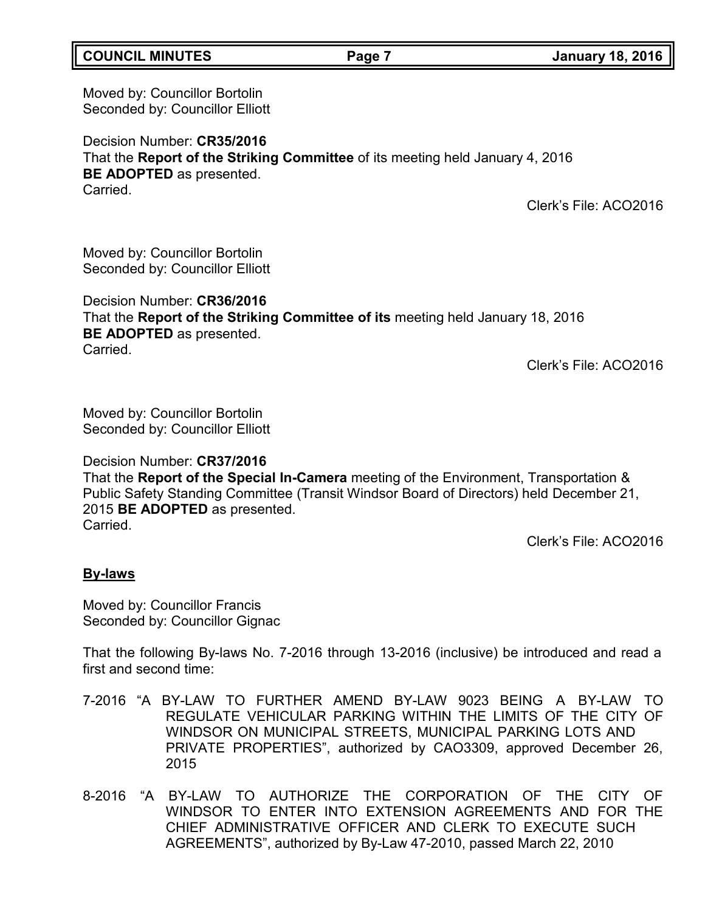## **COUNCIL MINUTES Page 7 January 18, 2016**

Moved by: Councillor Bortolin Seconded by: Councillor Elliott

Decision Number: **CR35/2016** That the **Report of the Striking Committee** of its meeting held January 4, 2016 **BE ADOPTED** as presented. **Carried** 

Clerk's File: ACO2016

Moved by: Councillor Bortolin Seconded by: Councillor Elliott

Decision Number: **CR36/2016** That the **Report of the Striking Committee of its** meeting held January 18, 2016 **BE ADOPTED** as presented. Carried.

Clerk's File: ACO2016

Moved by: Councillor Bortolin Seconded by: Councillor Elliott

Decision Number: **CR37/2016**

That the **Report of the Special In-Camera** meeting of the Environment, Transportation & Public Safety Standing Committee (Transit Windsor Board of Directors) held December 21, 2015 **BE ADOPTED** as presented. **Carried** 

Clerk's File: ACO2016

### **By-laws**

Moved by: Councillor Francis Seconded by: Councillor Gignac

That the following By-laws No. 7-2016 through 13-2016 (inclusive) be introduced and read a first and second time:

- 7-2016 "A BY-LAW TO FURTHER AMEND BY-LAW 9023 BEING A BY-LAW TO REGULATE VEHICULAR PARKING WITHIN THE LIMITS OF THE CITY OF WINDSOR ON MUNICIPAL STREETS, MUNICIPAL PARKING LOTS AND PRIVATE PROPERTIES", authorized by CAO3309, approved December 26, 2015
- 8-2016 "A BY-LAW TO AUTHORIZE THE CORPORATION OF THE CITY OF WINDSOR TO ENTER INTO EXTENSION AGREEMENTS AND FOR THE CHIEF ADMINISTRATIVE OFFICER AND CLERK TO EXECUTE SUCH AGREEMENTS", authorized by By-Law 47-2010, passed March 22, 2010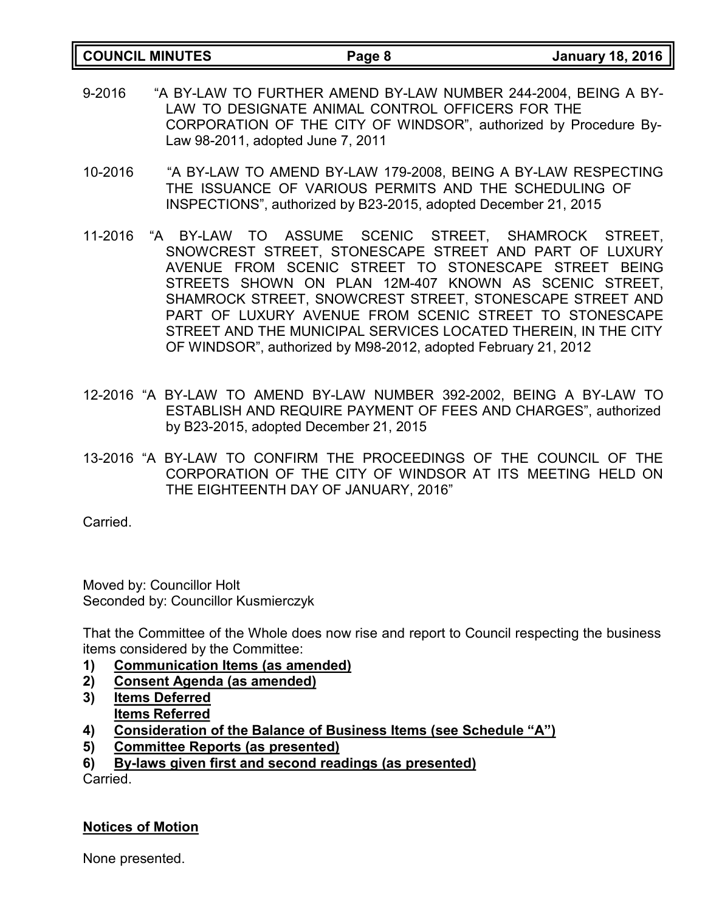| <b>COUNCIL MINUTES</b> | Page 8 | <b>January 18, 2016</b> |
|------------------------|--------|-------------------------|

- 9-2016 "A BY-LAW TO FURTHER AMEND BY-LAW NUMBER 244-2004, BEING A BY-LAW TO DESIGNATE ANIMAL CONTROL OFFICERS FOR THE CORPORATION OF THE CITY OF WINDSOR", authorized by Procedure By-Law 98-2011, adopted June 7, 2011
- 10-2016 "A BY-LAW TO AMEND BY-LAW 179-2008, BEING A BY-LAW RESPECTING THE ISSUANCE OF VARIOUS PERMITS AND THE SCHEDULING OF INSPECTIONS", authorized by B23-2015, adopted December 21, 2015
- 11-2016 "A BY-LAW TO ASSUME SCENIC STREET, SHAMROCK STREET, SNOWCREST STREET, STONESCAPE STREET AND PART OF LUXURY AVENUE FROM SCENIC STREET TO STONESCAPE STREET BEING STREETS SHOWN ON PLAN 12M-407 KNOWN AS SCENIC STREET, SHAMROCK STREET, SNOWCREST STREET, STONESCAPE STREET AND PART OF LUXURY AVENUE FROM SCENIC STREET TO STONESCAPE STREET AND THE MUNICIPAL SERVICES LOCATED THEREIN, IN THE CITY OF WINDSOR", authorized by M98-2012, adopted February 21, 2012
- 12-2016 "A BY-LAW TO AMEND BY-LAW NUMBER 392-2002, BEING A BY-LAW TO ESTABLISH AND REQUIRE PAYMENT OF FEES AND CHARGES", authorized by B23-2015, adopted December 21, 2015
- 13-2016 "A BY-LAW TO CONFIRM THE PROCEEDINGS OF THE COUNCIL OF THE CORPORATION OF THE CITY OF WINDSOR AT ITS MEETING HELD ON THE EIGHTEENTH DAY OF JANUARY, 2016"

**Carried** 

Moved by: Councillor Holt Seconded by: Councillor Kusmierczyk

That the Committee of the Whole does now rise and report to Council respecting the business items considered by the Committee:

- **1) Communication Items (as amended)**
- **2) Consent Agenda (as amended)**
- **3) Items Deferred Items Referred**
- **4) Consideration of the Balance of Business Items (see Schedule "A")**
- **5) Committee Reports (as presented)**
- **6) By-laws given first and second readings (as presented)**

**Carried** 

### **Notices of Motion**

None presented.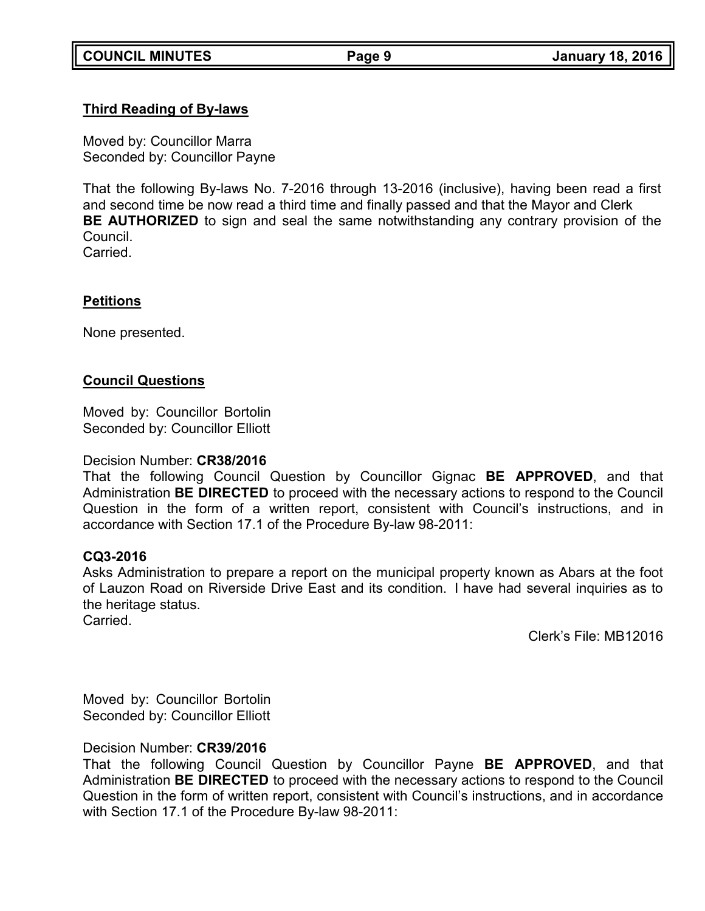## **Third Reading of By-laws**

Moved by: Councillor Marra Seconded by: Councillor Payne

That the following By-laws No. 7-2016 through 13-2016 (inclusive), having been read a first and second time be now read a third time and finally passed and that the Mayor and Clerk **BE AUTHORIZED** to sign and seal the same notwithstanding any contrary provision of the Council.

**Carried** 

### **Petitions**

None presented.

### **Council Questions**

Moved by: Councillor Bortolin Seconded by: Councillor Elliott

### Decision Number: **CR38/2016**

That the following Council Question by Councillor Gignac **BE APPROVED**, and that Administration **BE DIRECTED** to proceed with the necessary actions to respond to the Council Question in the form of a written report, consistent with Council's instructions, and in accordance with Section 17.1 of the Procedure By-law 98-2011:

### **CQ3-2016**

Asks Administration to prepare a report on the municipal property known as Abars at the foot of Lauzon Road on Riverside Drive East and its condition. I have had several inquiries as to the heritage status. Carried.

Clerk's File: MB12016

Moved by: Councillor Bortolin Seconded by: Councillor Elliott

## Decision Number: **CR39/2016**

That the following Council Question by Councillor Payne **BE APPROVED**, and that Administration **BE DIRECTED** to proceed with the necessary actions to respond to the Council Question in the form of written report, consistent with Council's instructions, and in accordance with Section 17.1 of the Procedure By-law 98-2011: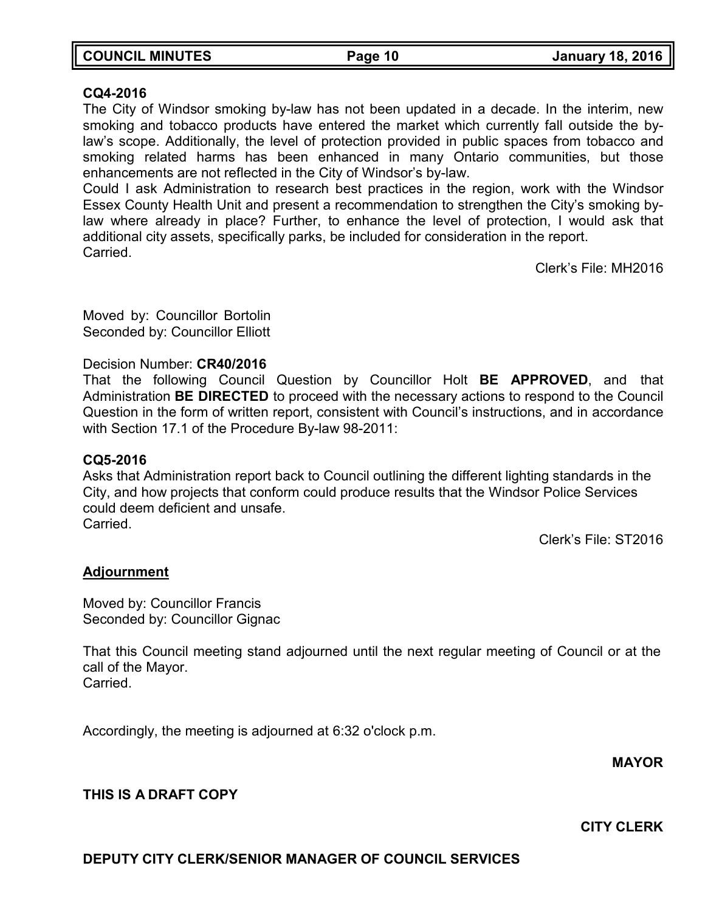| <b>COUNCIL MINUTES</b> | Page 10 | <b>January 18, 2016</b> |
|------------------------|---------|-------------------------|
|                        |         |                         |

### **CQ4-2016**

The City of Windsor smoking by-law has not been updated in a decade. In the interim, new smoking and tobacco products have entered the market which currently fall outside the bylaw's scope. Additionally, the level of protection provided in public spaces from tobacco and smoking related harms has been enhanced in many Ontario communities, but those enhancements are not reflected in the City of Windsor's by-law.

Could I ask Administration to research best practices in the region, work with the Windsor Essex County Health Unit and present a recommendation to strengthen the City's smoking bylaw where already in place? Further, to enhance the level of protection, I would ask that additional city assets, specifically parks, be included for consideration in the report. Carried.

Clerk's File: MH2016

Moved by: Councillor Bortolin Seconded by: Councillor Elliott

### Decision Number: **CR40/2016**

That the following Council Question by Councillor Holt **BE APPROVED**, and that Administration **BE DIRECTED** to proceed with the necessary actions to respond to the Council Question in the form of written report, consistent with Council's instructions, and in accordance with Section 17.1 of the Procedure By-law 98-2011:

### **CQ5-2016**

Asks that Administration report back to Council outlining the different lighting standards in the City, and how projects that conform could produce results that the Windsor Police Services could deem deficient and unsafe. Carried.

Clerk's File: ST2016

### **Adjournment**

Moved by: Councillor Francis Seconded by: Councillor Gignac

That this Council meeting stand adjourned until the next regular meeting of Council or at the call of the Mayor. Carried.

Accordingly, the meeting is adjourned at 6:32 o'clock p.m.

**MAYOR**

## **THIS IS A DRAFT COPY**

**CITY CLERK**

### **DEPUTY CITY CLERK/SENIOR MANAGER OF COUNCIL SERVICES**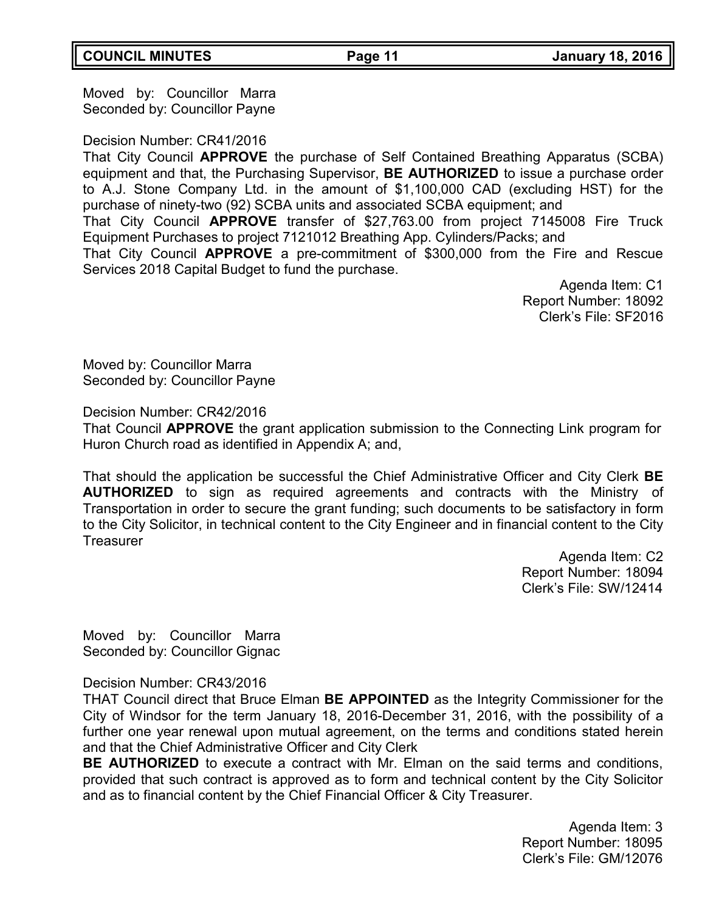## Moved by: Councillor Marra Seconded by: Councillor Payne

## Decision Number: CR41/2016

That City Council **APPROVE** the purchase of Self Contained Breathing Apparatus (SCBA) equipment and that, the Purchasing Supervisor, **BE AUTHORIZED** to issue a purchase order to A.J. Stone Company Ltd. in the amount of \$1,100,000 CAD (excluding HST) for the purchase of ninety-two (92) SCBA units and associated SCBA equipment; and

That City Council **APPROVE** transfer of \$27,763.00 from project 7145008 Fire Truck Equipment Purchases to project 7121012 Breathing App. Cylinders/Packs; and

That City Council **APPROVE** a pre-commitment of \$300,000 from the Fire and Rescue Services 2018 Capital Budget to fund the purchase.

> Agenda Item: C1 Report Number: 18092 Clerk's File: SF2016

Moved by: Councillor Marra Seconded by: Councillor Payne

Decision Number: CR42/2016

That Council **APPROVE** the grant application submission to the Connecting Link program for Huron Church road as identified in Appendix A; and,

That should the application be successful the Chief Administrative Officer and City Clerk **BE AUTHORIZED** to sign as required agreements and contracts with the Ministry of Transportation in order to secure the grant funding; such documents to be satisfactory in form to the City Solicitor, in technical content to the City Engineer and in financial content to the City **Treasurer** 

> Agenda Item: C2 Report Number: 18094 Clerk's File: SW/12414

Moved by: Councillor Marra Seconded by: Councillor Gignac

Decision Number: CR43/2016

THAT Council direct that Bruce Elman **BE APPOINTED** as the Integrity Commissioner for the City of Windsor for the term January 18, 2016-December 31, 2016, with the possibility of a further one year renewal upon mutual agreement, on the terms and conditions stated herein and that the Chief Administrative Officer and City Clerk

**BE AUTHORIZED** to execute a contract with Mr. Elman on the said terms and conditions, provided that such contract is approved as to form and technical content by the City Solicitor and as to financial content by the Chief Financial Officer & City Treasurer.

> Agenda Item: 3 Report Number: 18095 Clerk's File: GM/12076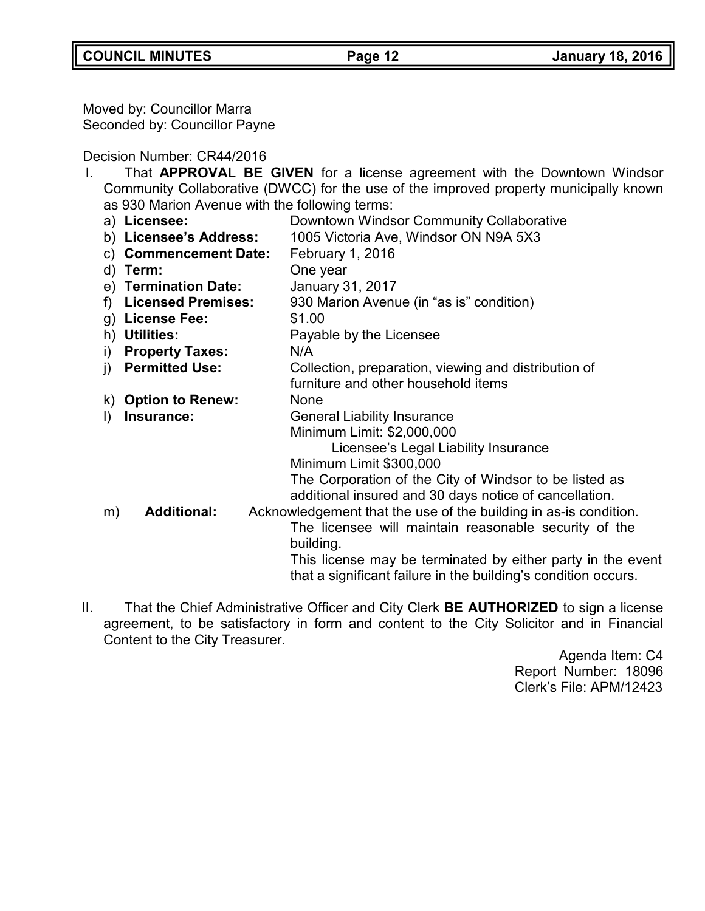Moved by: Councillor Marra Seconded by: Councillor Payne

## Decision Number: CR44/2016

| $\mathbf{I}$ . |                                                                                       | That <b>APPROVAL BE GIVEN</b> for a license agreement with the Downtown Windsor |  |
|----------------|---------------------------------------------------------------------------------------|---------------------------------------------------------------------------------|--|
|                | Community Collaborative (DWCC) for the use of the improved property municipally known |                                                                                 |  |
|                | as 930 Marion Avenue with the following terms:                                        |                                                                                 |  |
|                | a) Licensee:                                                                          | Downtown Windsor Community Collaborative                                        |  |
|                | b) Licensee's Address:                                                                | 1005 Victoria Ave, Windsor ON N9A 5X3                                           |  |
|                | c) Commencement Date:                                                                 | February 1, 2016                                                                |  |
|                | d) Term:                                                                              | One year                                                                        |  |
|                | e) Termination Date:                                                                  | <b>January 31, 2017</b>                                                         |  |
|                | <b>Licensed Premises:</b><br>f                                                        | 930 Marion Avenue (in "as is" condition)                                        |  |
|                | g) License Fee:                                                                       | \$1.00                                                                          |  |
|                | h) Utilities:                                                                         | Payable by the Licensee                                                         |  |
|                | <b>Property Taxes:</b><br>i)                                                          | N/A                                                                             |  |
|                | <b>Permitted Use:</b><br>$\mathbf{j}$                                                 | Collection, preparation, viewing and distribution of                            |  |
|                |                                                                                       | furniture and other household items                                             |  |
|                | k) Option to Renew:                                                                   | None                                                                            |  |
|                | Insurance:<br>I)                                                                      | <b>General Liability Insurance</b>                                              |  |
|                |                                                                                       | Minimum Limit: \$2,000,000                                                      |  |
|                |                                                                                       | Licensee's Legal Liability Insurance                                            |  |
|                |                                                                                       | Minimum Limit \$300,000                                                         |  |
|                |                                                                                       | The Corporation of the City of Windsor to be listed as                          |  |
|                |                                                                                       | additional insured and 30 days notice of cancellation.                          |  |
|                | <b>Additional:</b><br>m)                                                              | Acknowledgement that the use of the building in as-is condition.                |  |
|                |                                                                                       | The licensee will maintain reasonable security of the                           |  |
|                |                                                                                       | building.                                                                       |  |
|                |                                                                                       | This license may be terminated by either party in the event                     |  |
|                |                                                                                       | that a significant failure in the building's condition occurs.                  |  |
|                |                                                                                       |                                                                                 |  |

II. That the Chief Administrative Officer and City Clerk **BE AUTHORIZED** to sign a license agreement, to be satisfactory in form and content to the City Solicitor and in Financial Content to the City Treasurer.

Agenda Item: C4 Report Number: 18096 Clerk's File: APM/12423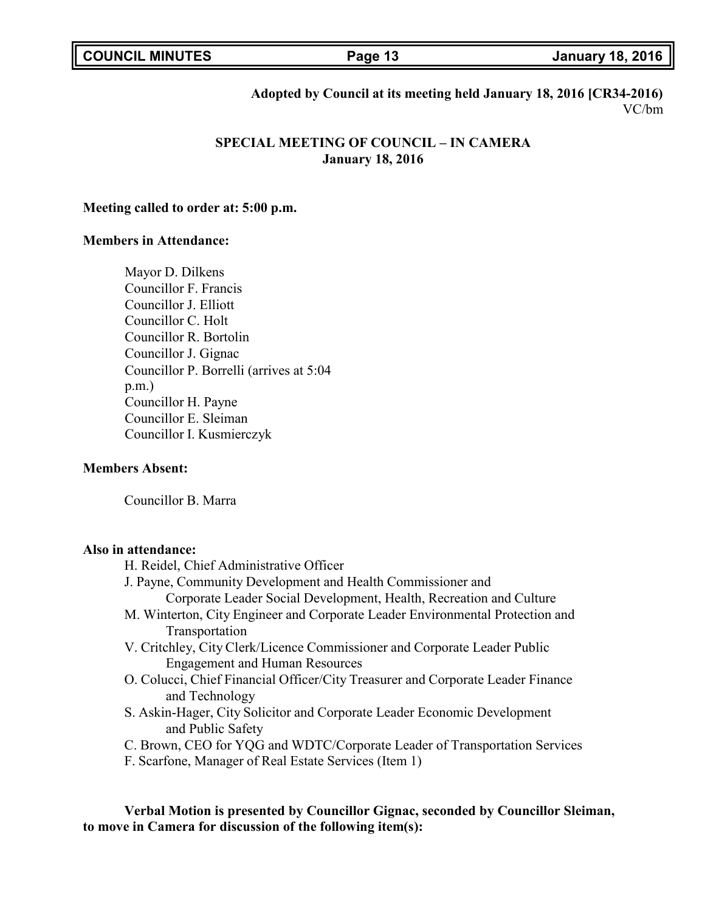| <b>COUNCIL MINUTES</b> |  |
|------------------------|--|
|------------------------|--|

**COUNCIL MINUTES Page 13 January 18, 2016**

### **Adopted by Council at its meeting held January 18, 2016 [CR34-2016)** VC/bm

## **SPECIAL MEETING OF COUNCIL – IN CAMERA January 18, 2016**

### **Meeting called to order at: 5:00 p.m.**

### **Members in Attendance:**

Mayor D. Dilkens Councillor F. Francis Councillor J. Elliott Councillor C. Holt Councillor R. Bortolin Councillor J. Gignac Councillor P. Borrelli (arrives at 5:04 p.m.) Councillor H. Payne Councillor E. Sleiman Councillor I. Kusmierczyk

### **Members Absent:**

Councillor B. Marra

### **Also in attendance:**

H. Reidel, Chief Administrative Officer J. Payne, Community Development and Health Commissioner and Corporate Leader Social Development, Health, Recreation and Culture M. Winterton, City Engineer and Corporate Leader Environmental Protection and Transportation V. Critchley, City Clerk/Licence Commissioner and Corporate Leader Public Engagement and Human Resources O. Colucci, Chief Financial Officer/City Treasurer and Corporate Leader Finance and Technology S. Askin-Hager, City Solicitor and Corporate Leader Economic Development and Public Safety C. Brown, CEO for YQG and WDTC/Corporate Leader of Transportation Services

F. Scarfone, Manager of Real Estate Services (Item 1)

**Verbal Motion is presented by Councillor Gignac, seconded by Councillor Sleiman, to move in Camera for discussion of the following item(s):**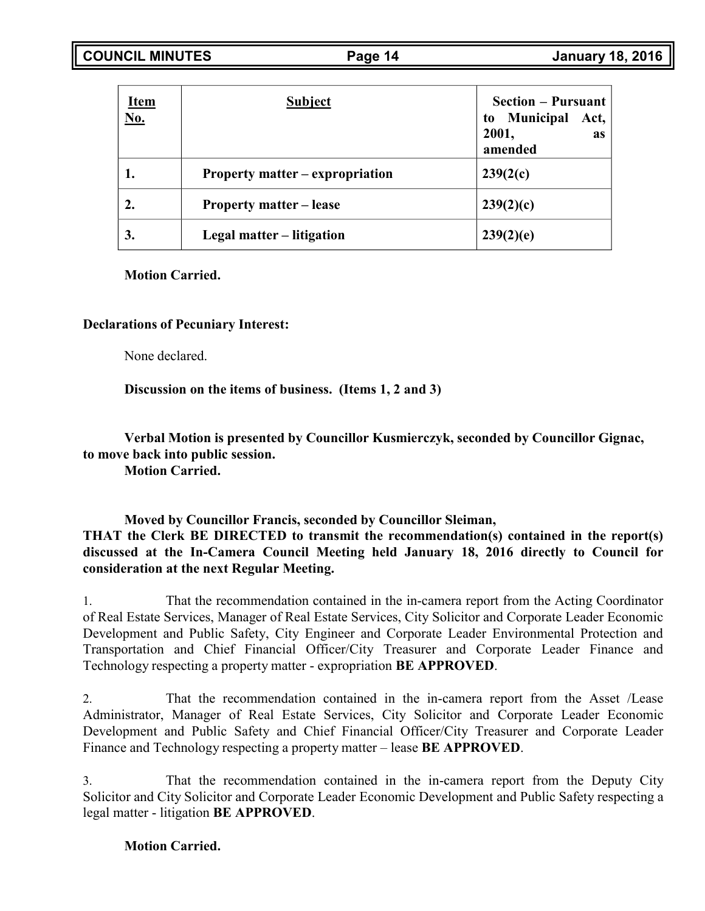| <u>Item</u><br><u>No.</u> | <b>Subject</b>                  | <b>Section – Pursuant</b><br>to Municipal<br>Act,<br>2001,<br><b>as</b><br>amended |
|---------------------------|---------------------------------|------------------------------------------------------------------------------------|
|                           | Property matter – expropriation | 239(2(c)                                                                           |
|                           | <b>Property matter – lease</b>  | 239(2)(c)                                                                          |
| 3.                        | Legal matter – litigation       | 239(2)(e)                                                                          |

### **Motion Carried.**

### **Declarations of Pecuniary Interest:**

None declared.

**Discussion on the items of business. (Items 1, 2 and 3)**

**Verbal Motion is presented by Councillor Kusmierczyk, seconded by Councillor Gignac, to move back into public session.**

**Motion Carried.**

**Moved by Councillor Francis, seconded by Councillor Sleiman, THAT the Clerk BE DIRECTED to transmit the recommendation(s) contained in the report(s) discussed at the In-Camera Council Meeting held January 18, 2016 directly to Council for consideration at the next Regular Meeting.**

1. That the recommendation contained in the in-camera report from the Acting Coordinator of Real Estate Services, Manager of Real Estate Services, City Solicitor and Corporate Leader Economic Development and Public Safety, City Engineer and Corporate Leader Environmental Protection and Transportation and Chief Financial Officer/City Treasurer and Corporate Leader Finance and Technology respecting a property matter - expropriation **BE APPROVED**.

2. That the recommendation contained in the in-camera report from the Asset /Lease Administrator, Manager of Real Estate Services, City Solicitor and Corporate Leader Economic Development and Public Safety and Chief Financial Officer/City Treasurer and Corporate Leader Finance and Technology respecting a property matter – lease **BE APPROVED**.

3. That the recommendation contained in the in-camera report from the Deputy City Solicitor and City Solicitor and Corporate Leader Economic Development and Public Safety respecting a legal matter - litigation **BE APPROVED**.

## **Motion Carried.**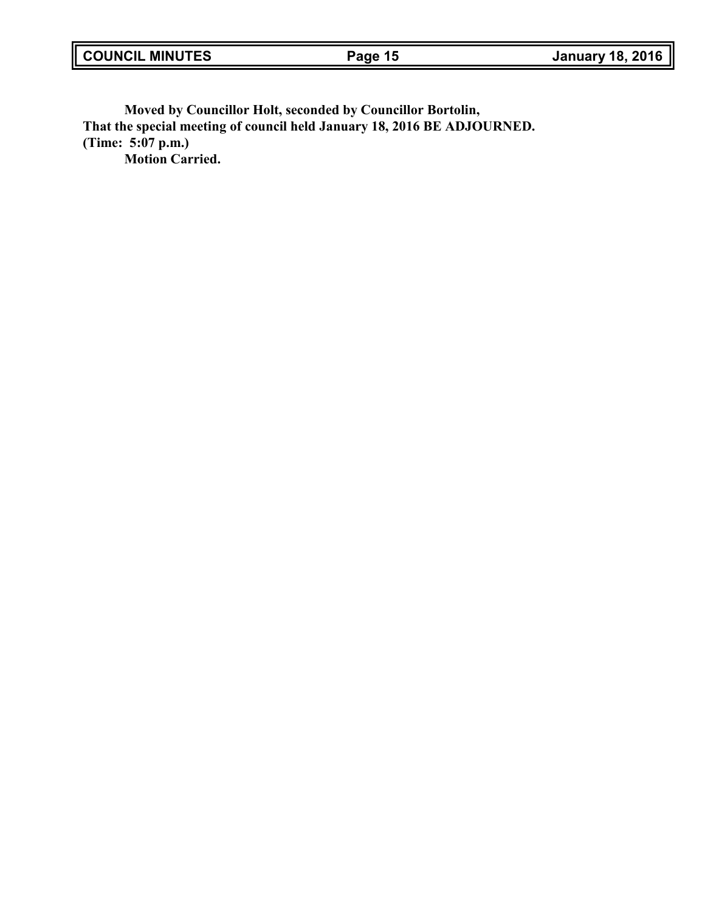**Moved by Councillor Holt, seconded by Councillor Bortolin, That the special meeting of council held January 18, 2016 BE ADJOURNED. (Time: 5:07 p.m.) Motion Carried.**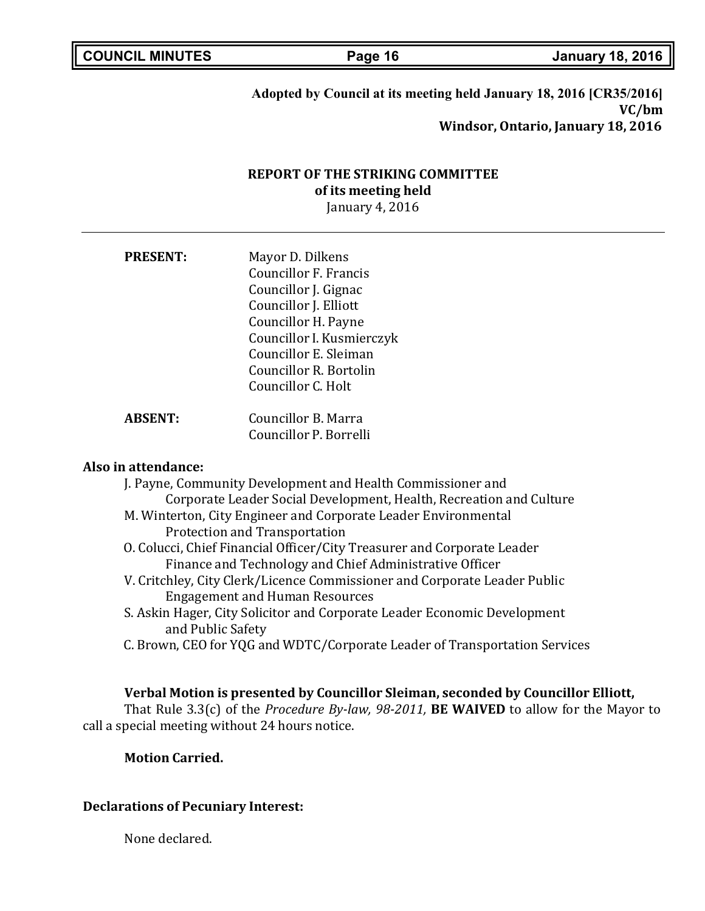## **Adopted by Council at its meeting held January 18, 2016 [CR35/2016] VC/bm Windsor, Ontario, January 18, 2016**

# **REPORT OF THE STRIKING COMMITTEE of its meeting held**

January 4, 2016

| <b>PRESENT:</b> | Mayor D. Dilkens<br><b>Councillor F. Francis</b><br>Councillor J. Gignac<br>Councillor J. Elliott<br>Councillor H. Payne<br>Councillor I. Kusmierczyk<br>Councillor E. Sleiman |
|-----------------|--------------------------------------------------------------------------------------------------------------------------------------------------------------------------------|
|                 | Councillor R. Bortolin                                                                                                                                                         |
|                 | Councillor C. Holt                                                                                                                                                             |
|                 |                                                                                                                                                                                |

**ABSENT:** Councillor B. Marra Councillor P. Borrelli

### **Also in attendance:**

| J. Payne, Community Development and Health Commissioner and                |
|----------------------------------------------------------------------------|
| Corporate Leader Social Development, Health, Recreation and Culture        |
| M. Winterton, City Engineer and Corporate Leader Environmental             |
| Protection and Transportation                                              |
| O. Colucci, Chief Financial Officer/City Treasurer and Corporate Leader    |
| Finance and Technology and Chief Administrative Officer                    |
| V. Critchley, City Clerk/Licence Commissioner and Corporate Leader Public  |
| <b>Engagement and Human Resources</b>                                      |
| S. Askin Hager, City Solicitor and Corporate Leader Economic Development   |
| and Public Safety                                                          |
| C. Brown, CEO for YQG and WDTC/Corporate Leader of Transportation Services |

**Verbal Motion is presented by Councillor Sleiman, seconded by Councillor Elliott,** That Rule 3.3(c) of the *Procedure By-law, 98-2011,* **BE WAIVED** to allow for the Mayor to call a special meeting without 24 hours notice.

### **Motion Carried.**

### **Declarations of Pecuniary Interest:**

None declared.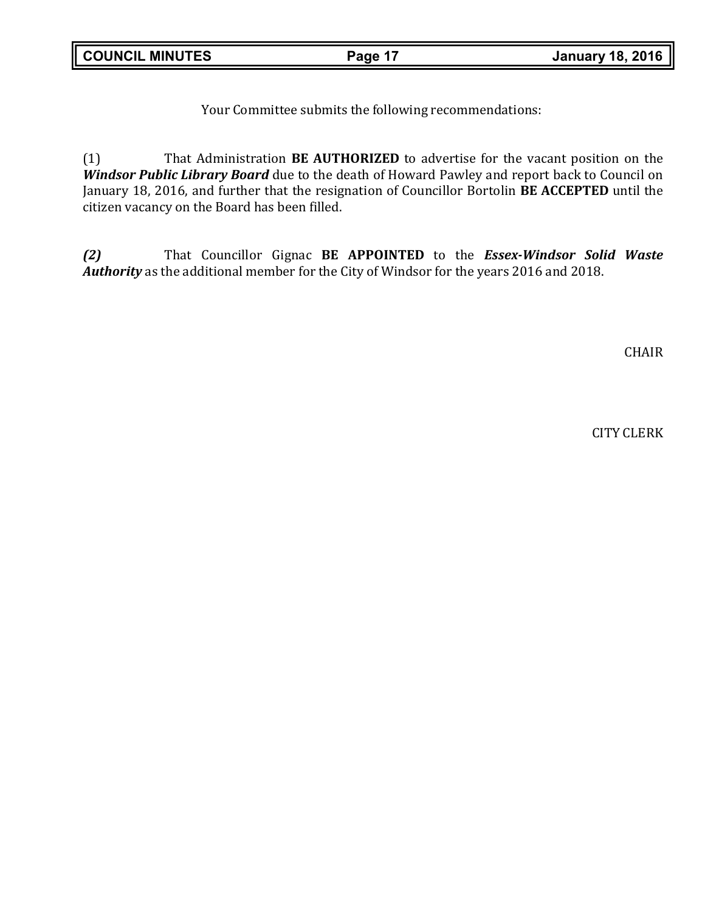Your Committee submits the following recommendations:

(1) That Administration **BE AUTHORIZED** to advertise for the vacant position on the *Windsor Public Library Board* due to the death of Howard Pawley and report back to Council on January 18, 2016, and further that the resignation of Councillor Bortolin **BE ACCEPTED** until the citizen vacancy on the Board has been filled.

*(2)* That Councillor Gignac **BE APPOINTED** to the *Essex-Windsor Solid Waste Authority* as the additional member for the City of Windsor for the years 2016 and 2018.

CHAIR

CITY CLERK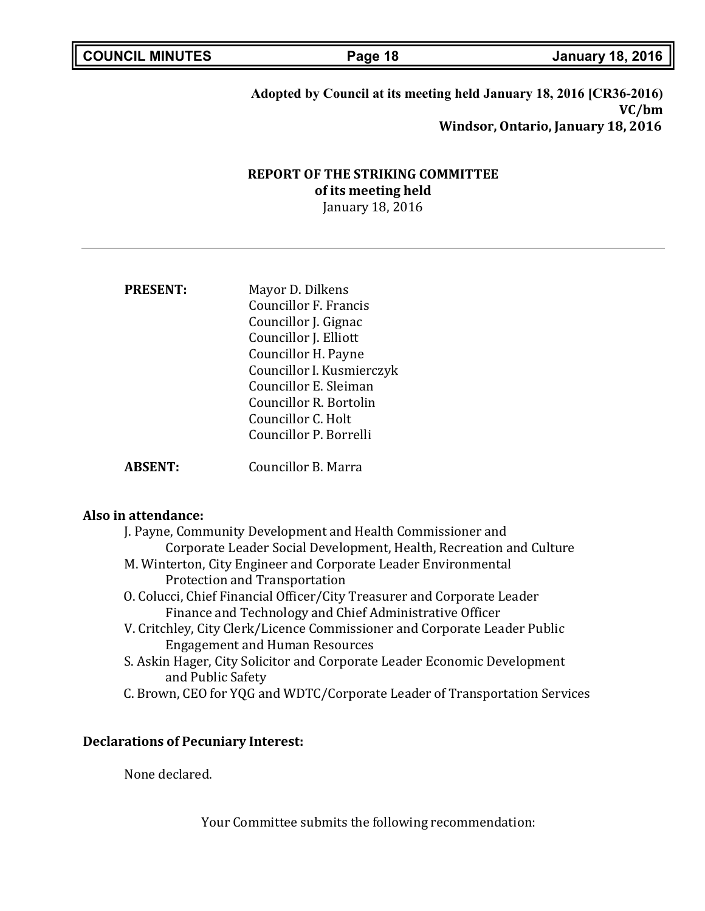**Adopted by Council at its meeting held January 18, 2016 [CR36-2016) VC/bm Windsor, Ontario, January 18, 2016**

# **REPORT OF THE STRIKING COMMITTEE of its meeting held**

January 18, 2016

| <b>PRESENT:</b> | Mayor D. Dilkens          |
|-----------------|---------------------------|
|                 | Councillor F. Francis     |
|                 | Councillor J. Gignac      |
|                 | Councillor J. Elliott     |
|                 | Councillor H. Payne       |
|                 | Councillor I. Kusmierczyk |
|                 | Councillor E. Sleiman     |
|                 | Councillor R. Bortolin    |
|                 | Councillor C. Holt        |
|                 | Councillor P. Borrelli    |
| ABSENT:         | Councillor B. Marra       |

### **Also in attendance:**

| J. Payne, Community Development and Health Commissioner and             |
|-------------------------------------------------------------------------|
| Corporate Leader Social Development, Health, Recreation and Culture     |
| M. Winterton, City Engineer and Corporate Leader Environmental          |
| Protection and Transportation                                           |
| O. Colucci, Chief Financial Officer/City Treasurer and Corporate Leader |

- Finance and Technology and Chief Administrative Officer
- V. Critchley, City Clerk/Licence Commissioner and Corporate Leader Public Engagement and Human Resources
- S. Askin Hager, City Solicitor and Corporate Leader Economic Development and Public Safety
- C. Brown, CEO for YQG and WDTC/Corporate Leader of Transportation Services

### **Declarations of Pecuniary Interest:**

None declared.

Your Committee submits the following recommendation: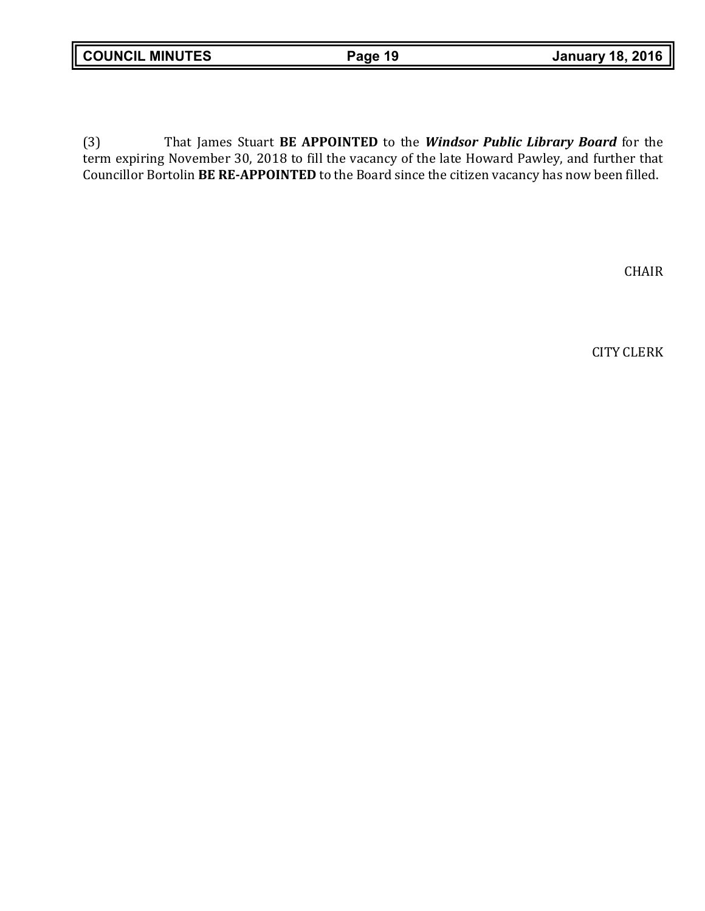(3) That James Stuart **BE APPOINTED** to the *Windsor Public Library Board* for the term expiring November 30, 2018 to fill the vacancy of the late Howard Pawley, and further that Councillor Bortolin **BE RE-APPOINTED** to the Board since the citizen vacancy has now been filled.

CHAIR

CITY CLERK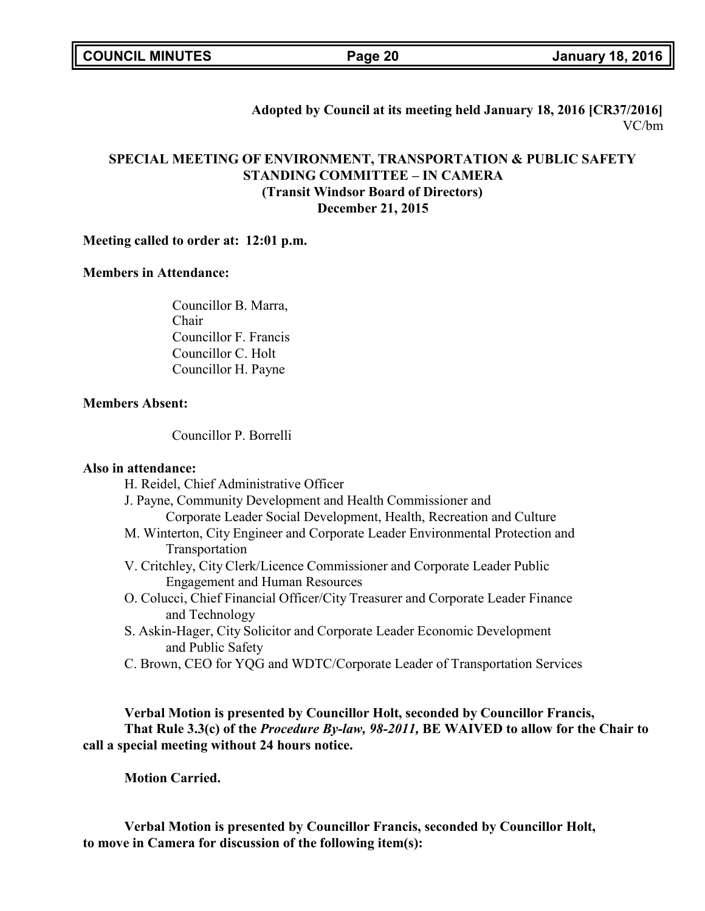**Adopted by Council at its meeting held January 18, 2016 [CR37/2016]** VC/bm

## **SPECIAL MEETING OF ENVIRONMENT, TRANSPORTATION & PUBLIC SAFETY STANDING COMMITTEE – IN CAMERA (Transit Windsor Board of Directors) December 21, 2015**

### **Meeting called to order at: 12:01 p.m.**

### **Members in Attendance:**

Councillor B. Marra, Chair Councillor F. Francis Councillor C. Holt Councillor H. Payne

### **Members Absent:**

Councillor P. Borrelli

### **Also in attendance:**

H. Reidel, Chief Administrative Officer

- J. Payne, Community Development and Health Commissioner and Corporate Leader Social Development, Health, Recreation and Culture
- M. Winterton, City Engineer and Corporate Leader Environmental Protection and Transportation
- V. Critchley, City Clerk/Licence Commissioner and Corporate Leader Public Engagement and Human Resources
- O. Colucci, Chief Financial Officer/City Treasurer and Corporate Leader Finance and Technology
- S. Askin-Hager, City Solicitor and Corporate Leader Economic Development and Public Safety
- C. Brown, CEO for YQG and WDTC/Corporate Leader of Transportation Services

### **Verbal Motion is presented by Councillor Holt, seconded by Councillor Francis, That Rule 3.3(c) of the** *Procedure By-law, 98-2011,* **BE WAIVED to allow for the Chair to call a special meeting without 24 hours notice.**

**Motion Carried.**

**Verbal Motion is presented by Councillor Francis, seconded by Councillor Holt, to move in Camera for discussion of the following item(s):**